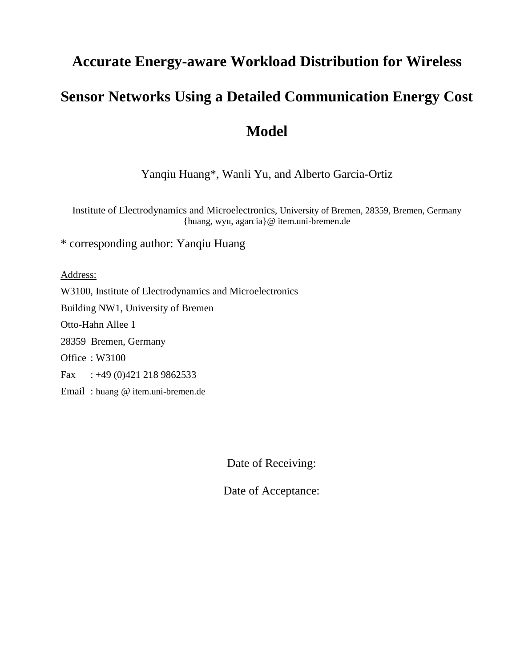# **Accurate Energy-aware Workload Distribution for Wireless Sensor Networks Using a Detailed Communication Energy Cost Model**

Yanqiu Huang\*, Wanli Yu, and Alberto Garcia-Ortiz

Institute of Electrodynamics and Microelectronics, University of Bremen, 28359, Bremen, Germany {huang, wyu, agarcia}@ item.uni-bremen.de

\* corresponding author: Yanqiu Huang

Address:

W3100, Institute of Electrodynamics and Microelectronics

Building NW1, University of Bremen

Otto-Hahn Allee 1

28359 Bremen, Germany

Office : W3100

Fax  $\therefore$  +49 (0)421 218 9862533

Email : huang @ item.uni-bremen.de

Date of Receiving:

Date of Acceptance: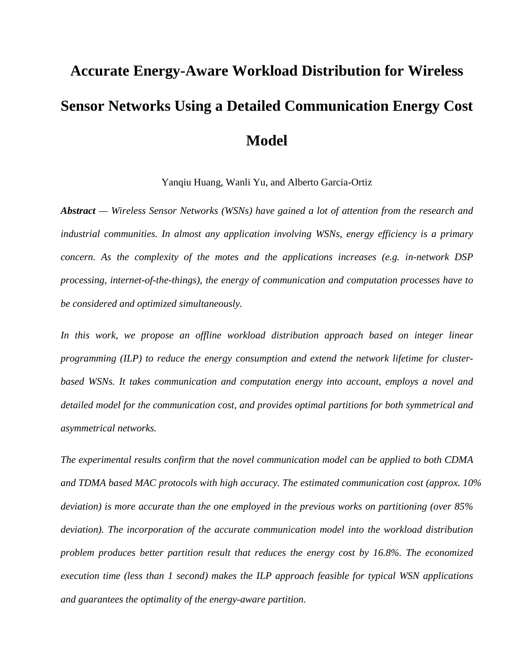# **Accurate Energy-Aware Workload Distribution for Wireless Sensor Networks Using a Detailed Communication Energy Cost Model**

Yanqiu Huang, Wanli Yu, and Alberto Garcia-Ortiz

*Abstract — Wireless Sensor Networks (WSNs) have gained a lot of attention from the research and industrial communities. In almost any application involving WSNs, energy efficiency is a primary concern. As the complexity of the motes and the applications increases (e.g. in-network DSP processing, internet-of-the-things), the energy of communication and computation processes have to be considered and optimized simultaneously.*

*In this work, we propose an offline workload distribution approach based on integer linear programming (ILP) to reduce the energy consumption and extend the network lifetime for clusterbased WSNs. It takes communication and computation energy into account, employs a novel and detailed model for the communication cost, and provides optimal partitions for both symmetrical and asymmetrical networks.*

*The experimental results confirm that the novel communication model can be applied to both CDMA and TDMA based MAC protocols with high accuracy. The estimated communication cost (approx. 10% deviation) is more accurate than the one employed in the previous works on partitioning (over 85% deviation). The incorporation of the accurate communication model into the workload distribution problem produces better partition result that reduces the energy cost by 16.8%. The economized execution time (less than 1 second) makes the ILP approach feasible for typical WSN applications and guarantees the optimality of the energy-aware partition.*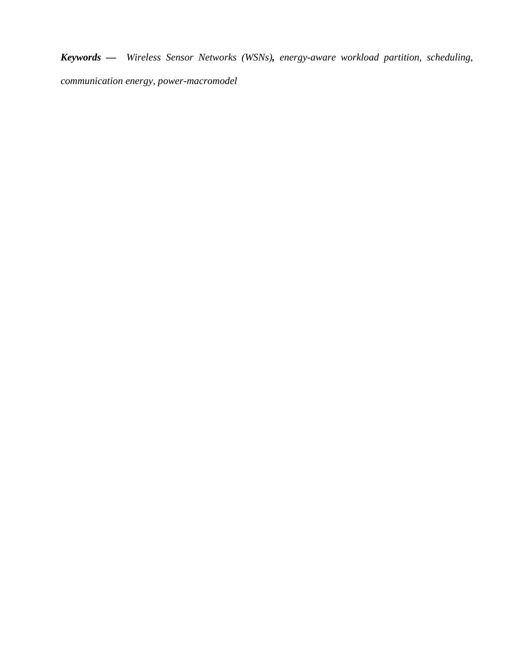*Keywords — Wireless Sensor Networks (WSNs), energy-aware workload partition, scheduling, communication energy, power-macromodel*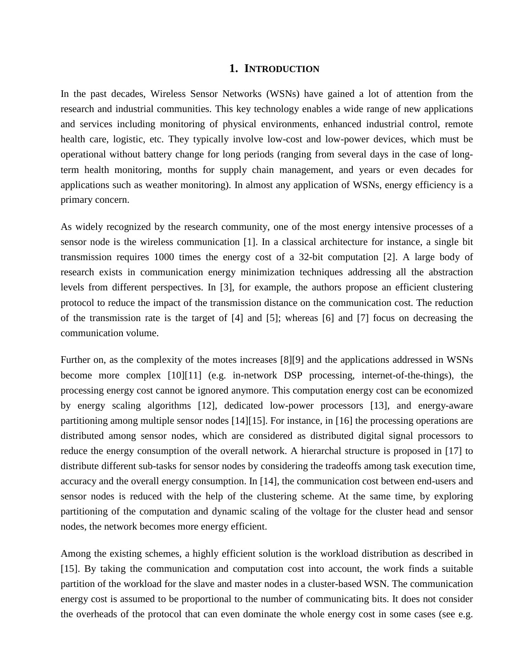### **1. INTRODUCTION**

In the past decades, Wireless Sensor Networks (WSNs) have gained a lot of attention from the research and industrial communities. This key technology enables a wide range of new applications and services including monitoring of physical environments, enhanced industrial control, remote health care, logistic, etc. They typically involve low-cost and low-power devices, which must be operational without battery change for long periods (ranging from several days in the case of longterm health monitoring, months for supply chain management, and years or even decades for applications such as weather monitoring). In almost any application of WSNs, energy efficiency is a primary concern.

As widely recognized by the research community, one of the most energy intensive processes of a sensor node is the wireless communication [1]. In a classical architecture for instance, a single bit transmission requires 1000 times the energy cost of a 32-bit computation [2]. A large body of research exists in communication energy minimization techniques addressing all the abstraction levels from different perspectives. In [3], for example, the authors propose an efficient clustering protocol to reduce the impact of the transmission distance on the communication cost. The reduction of the transmission rate is the target of [4] and [5]; whereas [6] and [7] focus on decreasing the communication volume.

Further on, as the complexity of the motes increases [8][9] and the applications addressed in WSNs become more complex [10][11] (e.g. in-network DSP processing, internet-of-the-things), the processing energy cost cannot be ignored anymore. This computation energy cost can be economized by energy scaling algorithms [12], dedicated low-power processors [13], and energy-aware partitioning among multiple sensor nodes [14][15]. For instance, in [16] the processing operations are distributed among sensor nodes, which are considered as distributed digital signal processors to reduce the energy consumption of the overall network. A hierarchal structure is proposed in [17] to distribute different sub-tasks for sensor nodes by considering the tradeoffs among task execution time, accuracy and the overall energy consumption. In [14], the communication cost between end-users and sensor nodes is reduced with the help of the clustering scheme. At the same time, by exploring partitioning of the computation and dynamic scaling of the voltage for the cluster head and sensor nodes, the network becomes more energy efficient.

Among the existing schemes, a highly efficient solution is the workload distribution as described in [15]. By taking the communication and computation cost into account, the work finds a suitable partition of the workload for the slave and master nodes in a cluster-based WSN. The communication energy cost is assumed to be proportional to the number of communicating bits. It does not consider the overheads of the protocol that can even dominate the whole energy cost in some cases (see e.g.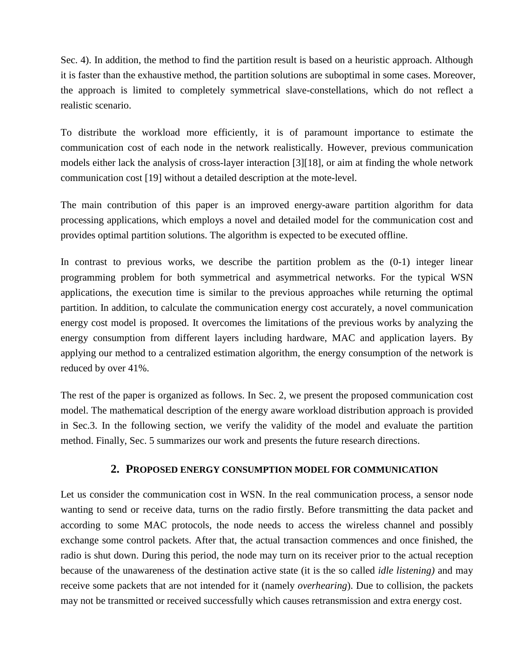Sec. 4). In addition, the method to find the partition result is based on a heuristic approach. Although it is faster than the exhaustive method, the partition solutions are suboptimal in some cases. Moreover, the approach is limited to completely symmetrical slave-constellations, which do not reflect a realistic scenario.

To distribute the workload more efficiently, it is of paramount importance to estimate the communication cost of each node in the network realistically. However, previous communication models either lack the analysis of cross-layer interaction [3][18], or aim at finding the whole network communication cost [19] without a detailed description at the mote-level.

The main contribution of this paper is an improved energy-aware partition algorithm for data processing applications, which employs a novel and detailed model for the communication cost and provides optimal partition solutions. The algorithm is expected to be executed offline.

In contrast to previous works, we describe the partition problem as the (0-1) integer linear programming problem for both symmetrical and asymmetrical networks. For the typical WSN applications, the execution time is similar to the previous approaches while returning the optimal partition. In addition, to calculate the communication energy cost accurately, a novel communication energy cost model is proposed. It overcomes the limitations of the previous works by analyzing the energy consumption from different layers including hardware, MAC and application layers. By applying our method to a centralized estimation algorithm, the energy consumption of the network is reduced by over 41%.

The rest of the paper is organized as follows. In Sec. 2, we present the proposed communication cost model. The mathematical description of the energy aware workload distribution approach is provided in Sec.3. In the following section, we verify the validity of the model and evaluate the partition method. Finally, Sec. 5 summarizes our work and presents the future research directions.

## **2. PROPOSED ENERGY CONSUMPTION MODEL FOR COMMUNICATION**

Let us consider the communication cost in WSN. In the real communication process, a sensor node wanting to send or receive data, turns on the radio firstly. Before transmitting the data packet and according to some MAC protocols, the node needs to access the wireless channel and possibly exchange some control packets. After that, the actual transaction commences and once finished, the radio is shut down. During this period, the node may turn on its receiver prior to the actual reception because of the unawareness of the destination active state (it is the so called *idle listening)* and may receive some packets that are not intended for it (namely *overhearing*). Due to collision, the packets may not be transmitted or received successfully which causes retransmission and extra energy cost.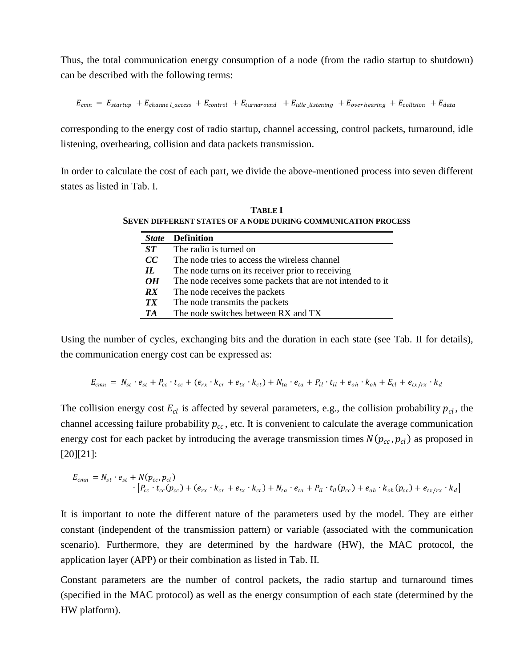Thus, the total communication energy consumption of a node (from the radio startup to shutdown) can be described with the following terms:

$$
E_{cmn} = E_{startup} + E_{channel\_access} + E_{control} + E_{turnaround} + E_{idle\_listening} + E_{over \, learning} + E_{collision} + E_{data}
$$

corresponding to the energy cost of radio startup, channel accessing, control packets, turnaround, idle listening, overhearing, collision and data packets transmission.

In order to calculate the cost of each part, we divide the above-mentioned process into seven different states as listed in Tab. I.

**TABLE I SEVEN DIFFERENT STATES OF A NODE DURING COMMUNICATION PROCESS**

| <b>State</b>                    | <b>Definition</b>                                          |
|---------------------------------|------------------------------------------------------------|
| ST.                             | The radio is turned on                                     |
| CC                              | The node tries to access the wireless channel              |
| $I\!L$                          | The node turns on its receiver prior to receiving          |
| OН                              | The node receives some packets that are not intended to it |
| $\boldsymbol{R} \boldsymbol{X}$ | The node receives the packets                              |
| TX <sup>T</sup>                 | The node transmits the packets                             |
| TA                              | The node switches between RX and TX                        |

Using the number of cycles, exchanging bits and the duration in each state (see Tab. II for details), the communication energy cost can be expressed as:

$$
E_{cmn} \ = \ N_{st} \cdot e_{st} + P_{cc} \cdot t_{cc} + (e_{rx} \cdot k_{cr} + e_{tx} \cdot k_{ct}) + N_{ta} \cdot e_{ta} + P_{il} \cdot t_{il} + e_{oh} \cdot k_{oh} + E_{cl} + e_{tx/rx} \cdot k_{d}
$$

The collision energy cost  $E_{cl}$  is affected by several parameters, e.g., the collision probability  $p_{cl}$ , the channel accessing failure probability  $p_{cc}$ , etc. It is convenient to calculate the average communication energy cost for each packet by introducing the average transmission times  $N(p_{cc}, p_{cl})$  as proposed in [20][21]:

$$
E_{cmn} = N_{st} \cdot e_{st} + N(p_{cc}, p_{cl})
$$
  
 
$$
\cdot [P_{cc} \cdot t_{cc}(p_{cc}) + (e_{rx} \cdot k_{cr} + e_{tx} \cdot k_{ct}) + N_{ta} \cdot e_{ta} + P_{il} \cdot t_{il}(p_{cc}) + e_{oh} \cdot k_{oh}(p_{cc}) + e_{tx/rx} \cdot k_{d}]
$$

It is important to note the different nature of the parameters used by the model. They are either constant (independent of the transmission pattern) or variable (associated with the communication scenario). Furthermore, they are determined by the hardware (HW), the MAC protocol, the application layer (APP) or their combination as listed in Tab. II.

Constant parameters are the number of control packets, the radio startup and turnaround times (specified in the MAC protocol) as well as the energy consumption of each state (determined by the HW platform).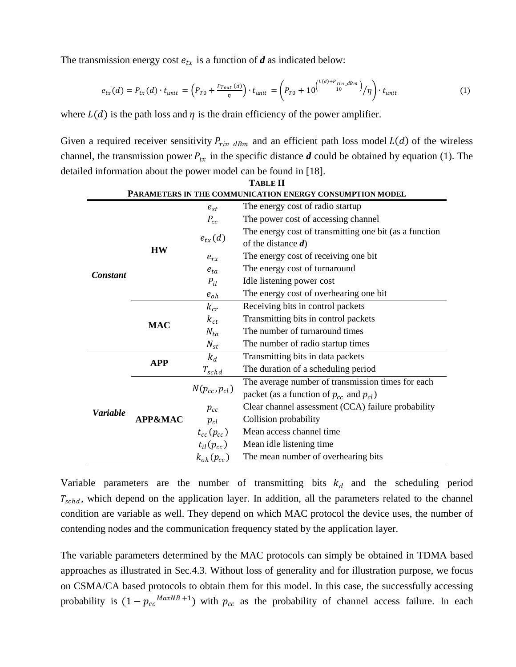The transmission energy cost  $e_{tx}$  is a function of *d* as indicated below:

$$
e_{tx}(d) = P_{tx}(d) \cdot t_{unit} = \left( P_{T0} + \frac{P_{Tout}(d)}{\eta} \right) \cdot t_{unit} = \left( P_{T0} + 10 \frac{\left( \frac{L(d) + P_{rin,dBm}}{10} \right)}{\eta} \right) \cdot t_{unit}
$$
 (1)

where  $L(d)$  is the path loss and  $\eta$  is the drain efficiency of the power amplifier.

Given a required receiver sensitivity  $P_{rin\text{dBm}}$  and an efficient path loss model  $L(d)$  of the wireless channel, the transmission power  $P_{tx}$  in the specific distance  $d$  could be obtained by equation (1). The detailed information about the power model can be found in [18].

| TABLE II |                                                          |                     |                                                                                 |  |  |
|----------|----------------------------------------------------------|---------------------|---------------------------------------------------------------------------------|--|--|
|          | PARAMETERS IN THE COMMUNICATION ENERGY CONSUMPTION MODEL |                     |                                                                                 |  |  |
|          |                                                          | $e_{st}$            | The energy cost of radio startup                                                |  |  |
|          |                                                          | $P_{cc}$            | The power cost of accessing channel                                             |  |  |
|          |                                                          | $e_{tx}(d)$         | The energy cost of transmitting one bit (as a function<br>of the distance $d$ ) |  |  |
|          | <b>HW</b>                                                | $e_{rx}$            | The energy cost of receiving one bit                                            |  |  |
|          |                                                          | $e_{ta}$            | The energy cost of turnaround                                                   |  |  |
| Constant |                                                          | $P_{il}$            | Idle listening power cost                                                       |  |  |
|          |                                                          | $e_{oh}$            | The energy cost of overhearing one bit                                          |  |  |
|          | <b>MAC</b>                                               | $k_{cr}$            | Receiving bits in control packets                                               |  |  |
|          |                                                          | $k_{ct}$            | Transmitting bits in control packets                                            |  |  |
|          |                                                          | $N_{ta}$            | The number of turnaround times                                                  |  |  |
|          |                                                          | $N_{st}$            | The number of radio startup times                                               |  |  |
|          | <b>APP</b>                                               | $k_d$               | Transmitting bits in data packets                                               |  |  |
|          |                                                          | $T_{schd}$          | The duration of a scheduling period                                             |  |  |
|          |                                                          | $N(p_{cc}, p_{cl})$ | The average number of transmission times for each                               |  |  |
|          |                                                          |                     | packet (as a function of $p_{cc}$ and $p_{cl}$ )                                |  |  |
| Variable |                                                          | $p_{cc}$            | Clear channel assessment (CCA) failure probability                              |  |  |
|          | <b>APP&amp;MAC</b>                                       | $p_{cl}$            | Collision probability                                                           |  |  |
|          |                                                          | $t_{cc}(p_{cc})$    | Mean access channel time.                                                       |  |  |
|          |                                                          | $t_{il}(p_{cc})$    | Mean idle listening time                                                        |  |  |
|          |                                                          | $k_{oh}(p_{cc})$    | The mean number of overhearing bits                                             |  |  |

Variable parameters are the number of transmitting bits  $k_d$  and the scheduling period  $T_{\text{schd}}$ , which depend on the application layer. In addition, all the parameters related to the channel condition are variable as well. They depend on which MAC protocol the device uses, the number of contending nodes and the communication frequency stated by the application layer.

The variable parameters determined by the MAC protocols can simply be obtained in TDMA based approaches as illustrated in Sec.4.3. Without loss of generality and for illustration purpose, we focus on CSMA/CA based protocols to obtain them for this model. In this case, the successfully accessing probability is  $(1 - p_{cc}^{MaxNB + 1})$  with  $p_{cc}$  as the probability of channel access failure. In each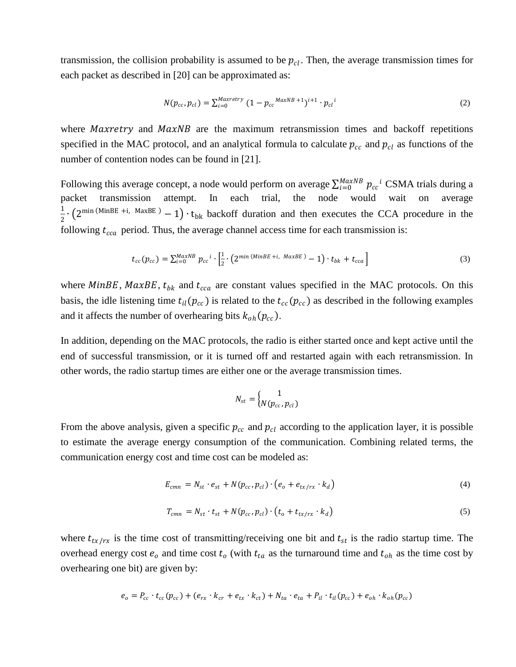transmission, the collision probability is assumed to be  $p_{cl}$ . Then, the average transmission times for each packet as described in [20] can be approximated as:

$$
N(p_{cc}, p_{cl}) = \sum_{i=0}^{Maxretry} (1 - p_{cc}^{MaxNB+1})^{i+1} \cdot p_{cl}^{i}
$$
 (2)

where *Maxretry* and *MaxNB* are the maximum retransmission times and backoff repetitions specified in the MAC protocol, and an analytical formula to calculate  $p_{cc}$  and  $p_{cl}$  as functions of the number of contention nodes can be found in [21].

Following this average concept, a node would perform on average  $\sum_{i=0}^{maxNB} p_{cc}^i$  CSMA trials during a packet transmission attempt. In each trial, the node would wait on average  $\frac{1}{2}$  ·  $(2^{\min(\text{MinBE } + i, \text{ MaxBE })} - 1) \cdot t_{\text{bk}}$  backoff duration and then executes the CCA procedure in the following  $t_{cca}$  period. Thus, the average channel access time for each transmission is:

$$
t_{cc}(p_{cc}) = \sum_{i=0}^{MaxNB} p_{cc}^{i} \cdot \left[\frac{1}{2} \cdot \left(2^{min\left(MinBE+i, \; MaxBE\right)} - 1\right) \cdot t_{bk} + t_{cca}\right]
$$
\n
$$
\tag{3}
$$

where  $MinBE$ ,  $MaxBE$ ,  $t_{bk}$  and  $t_{cca}$  are constant values specified in the MAC protocols. On this basis, the idle listening time  $t_{il}(p_{cc})$  is related to the  $t_{cc}(p_{cc})$  as described in the following examples and it affects the number of overhearing bits  $k_{oh}(p_{cc})$ .

In addition, depending on the MAC protocols, the radio is either started once and kept active until the end of successful transmission, or it is turned off and restarted again with each retransmission. In other words, the radio startup times are either one or the average transmission times.

$$
N_{st} = \begin{cases} 1 \\ N(p_{cc}, p_{cl}) \end{cases}
$$

From the above analysis, given a specific  $p_{cc}$  and  $p_{cl}$  according to the application layer, it is possible to estimate the average energy consumption of the communication. Combining related terms, the communication energy cost and time cost can be modeled as:

$$
E_{cmn} = N_{st} \cdot e_{st} + N(p_{cc}, p_{cl}) \cdot (e_o + e_{tx/rx} \cdot k_d)
$$
\n
$$
\tag{4}
$$

$$
T_{cmn} = N_{st} \cdot t_{st} + N(p_{cc}, p_{cl}) \cdot \left(t_0 + t_{tx/rx} \cdot k_d\right) \tag{5}
$$

where  $t_{tx/rx}$  is the time cost of transmitting/receiving one bit and  $t_{st}$  is the radio startup time. The overhead energy cost  $e_0$  and time cost  $t_0$  (with  $t_{ta}$  as the turnaround time and  $t_{oh}$  as the time cost by overhearing one bit) are given by:

$$
e_o = P_{cc} \cdot t_{cc}(p_{cc}) + (e_{rx} \cdot k_{cr} + e_{tx} \cdot k_{ct}) + N_{ta} \cdot e_{ta} + P_{il} \cdot t_{il}(p_{cc}) + e_{oh} \cdot k_{oh}(p_{cc})
$$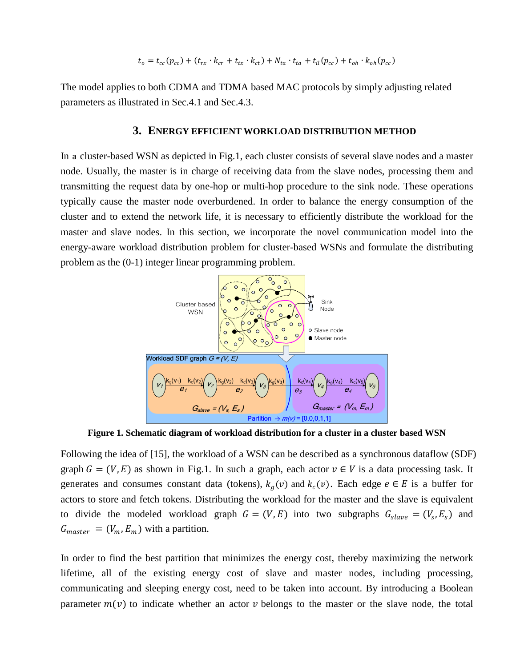$$
t_o = t_{cc}(p_{cc}) + (t_{rx} \cdot k_{cr} + t_{tx} \cdot k_{ct}) + N_{ta} \cdot t_{ta} + t_{il}(p_{cc}) + t_{oh} \cdot k_{oh}(p_{cc})
$$

The model applies to both CDMA and TDMA based MAC protocols by simply adjusting related parameters as illustrated in Sec.4.1 and Sec.4.3.

#### **3. ENERGY EFFICIENT WORKLOAD DISTRIBUTION METHOD**

In a cluster-based WSN as depicted in Fig.1, each cluster consists of several slave nodes and a master node. Usually, the master is in charge of receiving data from the slave nodes, processing them and transmitting the request data by one-hop or multi-hop procedure to the sink node. These operations typically cause the master node overburdened. In order to balance the energy consumption of the cluster and to extend the network life, it is necessary to efficiently distribute the workload for the master and slave nodes. In this section, we incorporate the novel communication model into the energy-aware workload distribution problem for cluster-based WSNs and formulate the distributing problem as the (0-1) integer linear programming problem.



**Figure 1. Schematic diagram of workload distribution for a cluster in a cluster based WSN**

Following the idea of [15], the workload of a WSN can be described as a synchronous dataflow (SDF) graph  $G = (V, E)$  as shown in Fig.1. In such a graph, each actor  $v \in V$  is a data processing task. It generates and consumes constant data (tokens),  $k_q(v)$  and  $k_c(v)$ . Each edge  $e \in E$  is a buffer for actors to store and fetch tokens. Distributing the workload for the master and the slave is equivalent to divide the modeled workload graph  $G = (V, E)$  into two subgraphs  $G_{slave} = (V_s, E_s)$  and  $G_{master} = (V_m, E_m)$  with a partition.

In order to find the best partition that minimizes the energy cost, thereby maximizing the network lifetime, all of the existing energy cost of slave and master nodes, including processing, communicating and sleeping energy cost, need to be taken into account. By introducing a Boolean parameter  $m(v)$  to indicate whether an actor v belongs to the master or the slave node, the total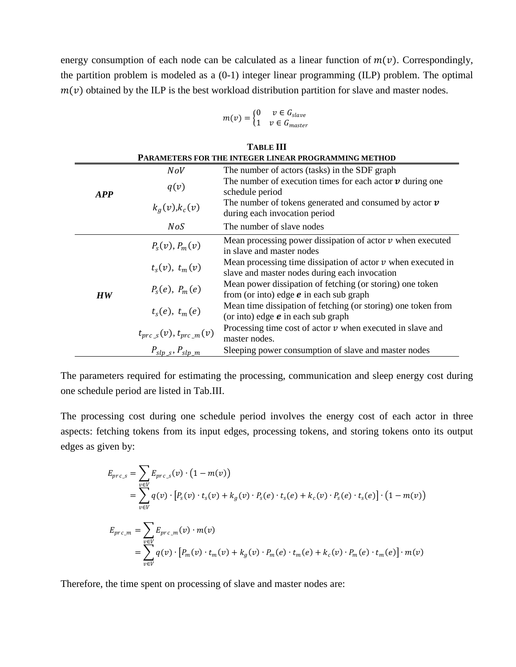energy consumption of each node can be calculated as a linear function of  $m(v)$ . Correspondingly, the partition problem is modeled as a (0-1) integer linear programming (ILP) problem. The optimal  $m(v)$  obtained by the ILP is the best workload distribution partition for slave and master nodes.

$$
m(v) = \begin{cases} 0 & v \in G_{slave} \\ 1 & v \in G_{master} \end{cases}
$$

| <b>TABLE III</b> |                                                             |                                                                                                                   |  |  |  |
|------------------|-------------------------------------------------------------|-------------------------------------------------------------------------------------------------------------------|--|--|--|
|                  | <b>PARAMETERS FOR THE INTEGER LINEAR PROGRAMMING METHOD</b> |                                                                                                                   |  |  |  |
|                  | <b>NoV</b>                                                  | The number of actors (tasks) in the SDF graph                                                                     |  |  |  |
| <b>APP</b>       | q(v)                                                        | The number of execution times for each actor $\nu$ during one<br>schedule period                                  |  |  |  |
|                  | $k_q(v)$ , $k_c(v)$                                         | The number of tokens generated and consumed by actor $\boldsymbol{v}$<br>during each invocation period            |  |  |  |
|                  | <b>NoS</b>                                                  | The number of slave nodes                                                                                         |  |  |  |
|                  | $P_{\rm s}(v)$ , $P_{\rm m}(v)$                             | Mean processing power dissipation of actor $v$ when executed<br>in slave and master nodes                         |  |  |  |
|                  | $t_{\rm s}(v), t_{\rm m}(v)$                                | Mean processing time dissipation of actor $\nu$ when executed in<br>slave and master nodes during each invocation |  |  |  |
| HW               | $P_{s}(e), P_{m}(e)$                                        | Mean power dissipation of fetching (or storing) one token<br>from (or into) edge $e$ in each sub graph            |  |  |  |
|                  | $t_{s}(e), t_{m}(e)$                                        | Mean time dissipation of fetching (or storing) one token from<br>(or into) edge $e$ in each sub graph             |  |  |  |
|                  | $t_{prc_s}(v), t_{prc_m}(v)$                                | Processing time cost of actor $\nu$ when executed in slave and<br>master nodes.                                   |  |  |  |
|                  | $P_{slp\_s}, P_{slp\_m}$                                    | Sleeping power consumption of slave and master nodes                                                              |  |  |  |

The parameters required for estimating the processing, communication and sleep energy cost during one schedule period are listed in Tab.III.

The processing cost during one schedule period involves the energy cost of each actor in three aspects: fetching tokens from its input edges, processing tokens, and storing tokens onto its output edges as given by:

$$
E_{prc_s} = \sum_{v \in V} E_{prc_s}(v) \cdot (1 - m(v))
$$
  
\n
$$
= \sum_{v \in V} q(v) \cdot [P_s(v) \cdot t_s(v) + k_g(v) \cdot P_s(e) \cdot t_s(e) + k_c(v) \cdot P_s(e) \cdot t_s(e)] \cdot (1 - m(v))
$$
  
\n
$$
E_{prc_m} = \sum_{v \in V} E_{prc_m}(v) \cdot m(v)
$$
  
\n
$$
= \sum_{v \in V} F_{prc_m}(v) \cdot [P_m(v) \cdot t_m(v) + k_g(v) \cdot P_m(e) \cdot t_m(e) + k_c(v) \cdot P_m(e) \cdot t_m(e)] \cdot m(v)
$$

Therefore, the time spent on processing of slave and master nodes are: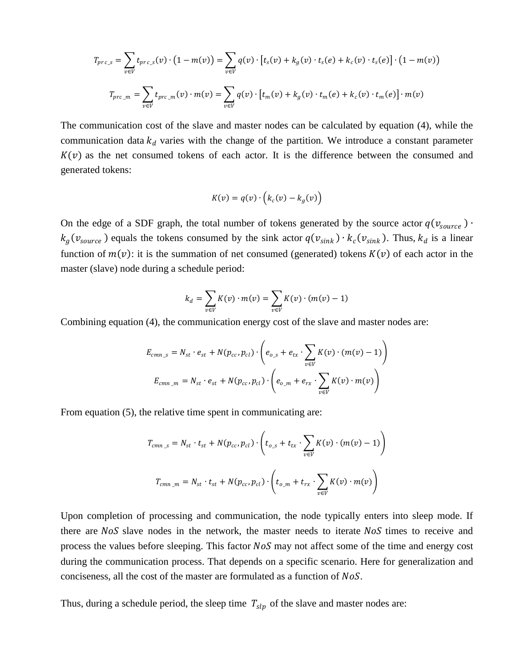$$
T_{prc\_s} = \sum_{v \in V} t_{prc\_s}(v) \cdot (1 - m(v)) = \sum_{v \in V} q(v) \cdot [t_s(v) + k_g(v) \cdot t_s(e) + k_c(v) \cdot t_s(e)] \cdot (1 - m(v))
$$
  

$$
T_{prc\_m} = \sum_{v \in V} t_{prc\_m}(v) \cdot m(v) = \sum_{v \in V} q(v) \cdot [t_m(v) + k_g(v) \cdot t_m(e) + k_c(v) \cdot t_m(e)] \cdot m(v)
$$

The communication cost of the slave and master nodes can be calculated by equation (4), while the communication data  $k_d$  varies with the change of the partition. We introduce a constant parameter  $K(v)$  as the net consumed tokens of each actor. It is the difference between the consumed and generated tokens:

$$
K(v) = q(v) \cdot \left(k_c(v) - k_g(v)\right)
$$

On the edge of a SDF graph, the total number of tokens generated by the source actor  $q(v_{source})$ .  $k_q(v_{source})$  equals the tokens consumed by the sink actor  $q(v_{sink}) \cdot k_c(v_{sink})$ . Thus,  $k_d$  is a linear function of  $m(v)$ : it is the summation of net consumed (generated) tokens  $K(v)$  of each actor in the master (slave) node during a schedule period:

$$
k_d = \sum_{v \in V} K(v) \cdot m(v) = \sum_{v \in V} K(v) \cdot (m(v) - 1)
$$

Combining equation (4), the communication energy cost of the slave and master nodes are:

$$
E_{cmn_{s}} = N_{st} \cdot e_{st} + N(p_{cc}, p_{cl}) \cdot \left( e_{o_{s}} + e_{tx} \cdot \sum_{v \in V} K(v) \cdot (m(v) - 1) \right)
$$
  

$$
E_{cmn_{s}} = N_{st} \cdot e_{st} + N(p_{cc}, p_{cl}) \cdot \left( e_{o_{s}} + e_{rx} \cdot \sum_{v \in V} K(v) \cdot m(v) \right)
$$

From equation (5), the relative time spent in communicating are:

$$
T_{cmn\_s} = N_{st} \cdot t_{st} + N(p_{cc}, p_{cl}) \cdot \left( t_{o\_s} + t_{tx} \cdot \sum_{v \in V} K(v) \cdot (m(v) - 1) \right)
$$

$$
T_{cmn\_m} = N_{st} \cdot t_{st} + N(p_{cc}, p_{cl}) \cdot \left( t_{o\_m} + t_{rx} \cdot \sum_{v \in V} K(v) \cdot m(v) \right)
$$

Upon completion of processing and communication, the node typically enters into sleep mode. If there are  $NoS$  slave nodes in the network, the master needs to iterate  $NoS$  times to receive and process the values before sleeping. This factor  $N \circ S$  may not affect some of the time and energy cost during the communication process. That depends on a specific scenario. Here for generalization and conciseness, all the cost of the master are formulated as a function of  $NoS$ .

Thus, during a schedule period, the sleep time  $T_{slp}$  of the slave and master nodes are: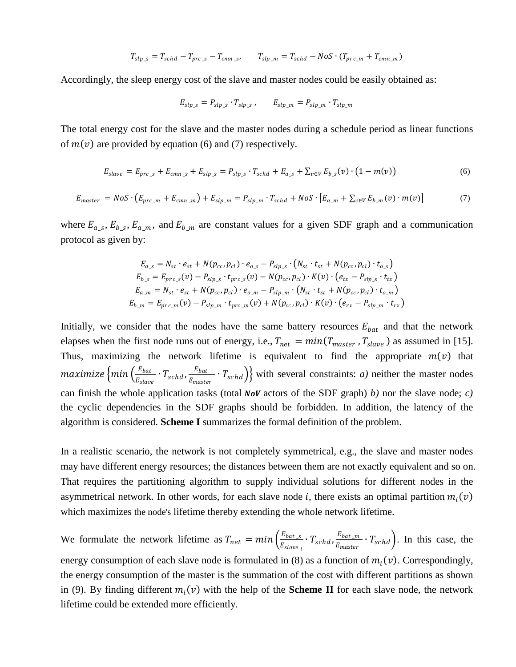$$
T_{slp\_s} = T_{schd} - T_{prc\_s} - T_{cmn\_s}, \qquad T_{slp\_m} = T_{schd} - NoS \cdot (T_{prc\_m} + T_{cmn\_m})
$$

Accordingly, the sleep energy cost of the slave and master nodes could be easily obtained as:

$$
E_{slp\_s} = P_{slp\_s} \cdot T_{slp\_s} , \qquad E_{slp\_m} = P_{slp\_m} \cdot T_{slp\_m}
$$

The total energy cost for the slave and the master nodes during a schedule period as linear functions of  $m(v)$  are provided by equation (6) and (7) respectively.

$$
E_{slave} = E_{prc_s} + E_{cmn_s} + E_{slp_s} = P_{slp_s} \cdot T_{schd} + E_{a_s} + \sum_{v \in V} E_{b_s}(v) \cdot (1 - m(v)) \tag{6}
$$

$$
E_{master} = NoS \cdot (E_{proc\_m} + E_{cmn\_m}) + E_{slp\_m} = P_{slp\_m} \cdot T_{schd} + NoS \cdot [E_{a\_m} + \sum_{v \in V} E_{b\_m}(v) \cdot m(v)] \tag{7}
$$

where  $E_{a,s}$ ,  $E_{b,s}$ ,  $E_{a,m}$ , and  $E_{b,m}$  are constant values for a given SDF graph and a communication protocol as given by:

$$
E_{a_{-}S} = N_{st} \cdot e_{st} + N(p_{cc}, p_{cl}) \cdot e_{o_{-}S} - P_{slp_{-}S} \cdot (N_{st} \cdot t_{st} + N(p_{cc}, p_{cl}) \cdot t_{o_{-}S})
$$
  
\n
$$
E_{b_{-}S} = E_{prc_{-}S}(v) - P_{slp_{-}S} \cdot t_{prc_{-}S}(v) - N(p_{cc}, p_{cl}) \cdot K(v) \cdot (e_{tx} - P_{slp_{-}S} \cdot t_{tx})
$$
  
\n
$$
E_{a_{-}m} = N_{st} \cdot e_{st} + N(p_{cc}, p_{cl}) \cdot e_{o_{-}m} - P_{slp_{-}m} \cdot (N_{st} \cdot t_{st} + N(p_{cc}, p_{cl}) \cdot t_{o_{-}m})
$$
  
\n
$$
E_{b_{-}m} = E_{prc_{-}m}(v) - P_{slp_{-}m} \cdot t_{prc_{-}m}(v) + N(p_{cc}, p_{cl}) \cdot K(v) \cdot (e_{rx} - P_{slp_{-}m} \cdot t_{rx})
$$

Initially, we consider that the nodes have the same battery resources  $E_{bat}$  and that the network elapses when the first node runs out of energy, i.e.,  $T_{net} = min(T_{master}, T_{slave})$  as assumed in [15]. Thus, maximizing the network lifetime is equivalent to find the appropriate  $m(v)$  that ze  $\{min\left(\frac{E_{bat}}{E_{slave}} \cdot T_{schd}, \frac{E_{bat}}{E_{master}} \cdot T_{schd}\right)\}$  with several constraints: *a*) neither the master nodes can finish the whole application tasks (total **NoV** actors of the SDF graph) *b*) nor the slave node; *c*) the cyclic dependencies in the SDF graphs should be forbidden. In addition, the latency of the algorithm is considered. **Scheme I** summarizes the formal definition of the problem.

In a realistic scenario, the network is not completely symmetrical, e.g., the slave and master nodes may have different energy resources; the distances between them are not exactly equivalent and so on. That requires the partitioning algorithm to supply individual solutions for different nodes in the asymmetrical network. In other words, for each slave node *i*, there exists an optimal partition  $m_i(v)$ which maximizes the node's lifetime thereby extending the whole network lifetime.

We formulate the network lifetime as  $T_{net} = min \left( \frac{E_{bat}}{E_{slave}} \cdot T_{schd}, \frac{E_{bat\_m}}{E_{master}} \cdot T_{schd} \right)$ . In this case, the energy consumption of each slave node is formulated in (8) as a function of  $m_i(v)$ . Correspondingly, the energy consumption of the master is the summation of the cost with different partitions as shown in (9). By finding different  $m_i(v)$  with the help of the **Scheme II** for each slave node, the network lifetime could be extended more efficiently.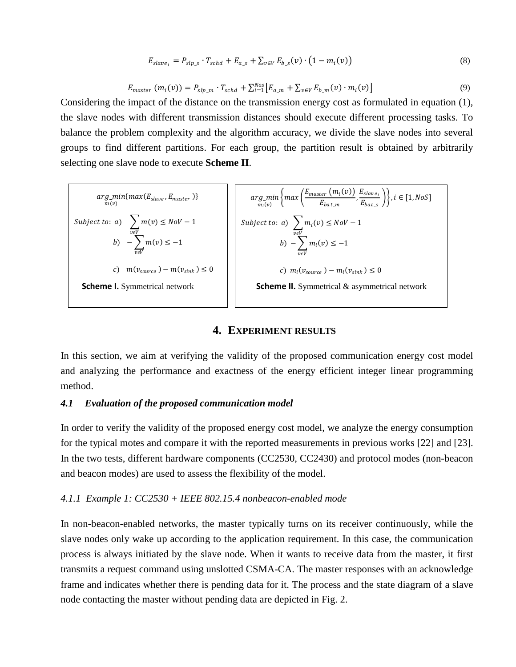$$
E_{slave_i} = P_{slp\_s} \cdot T_{schd} + E_{a\_s} + \sum_{v \in V} E_{b\_s}(v) \cdot (1 - m_i(v))
$$
\n
$$
\tag{8}
$$

$$
E_{master}(m_i(v)) = P_{slp\_m} \cdot T_{schd} + \sum_{i=1}^{Nos} \left[ E_{a\_m} + \sum_{v \in V} E_{b\_m}(v) \cdot m_i(v) \right]
$$
(9)

Considering the impact of the distance on the transmission energy cost as formulated in equation (1), the slave nodes with different transmission distances should execute different processing tasks. To balance the problem complexity and the algorithm accuracy, we divide the slave nodes into several groups to find different partitions. For each group, the partition result is obtained by arbitrarily selecting one slave node to execute **Scheme II**.



## **4. EXPERIMENT RESULTS**

In this section, we aim at verifying the validity of the proposed communication energy cost model and analyzing the performance and exactness of the energy efficient integer linear programming method.

### *4.1 Evaluation of the proposed communication model*

In order to verify the validity of the proposed energy cost model, we analyze the energy consumption for the typical motes and compare it with the reported measurements in previous works [22] and [23]. In the two tests, different hardware components (CC2530, CC2430) and protocol modes (non-beacon and beacon modes) are used to assess the flexibility of the model.

### *4.1.1 Example 1: CC2530 + IEEE 802.15.4 nonbeacon-enabled mode*

In non-beacon-enabled networks, the master typically turns on its receiver continuously, while the slave nodes only wake up according to the application requirement. In this case, the communication process is always initiated by the slave node. When it wants to receive data from the master, it first transmits a request command using unslotted CSMA-CA. The master responses with an acknowledge frame and indicates whether there is pending data for it. The process and the state diagram of a slave node contacting the master without pending data are depicted in Fig. 2.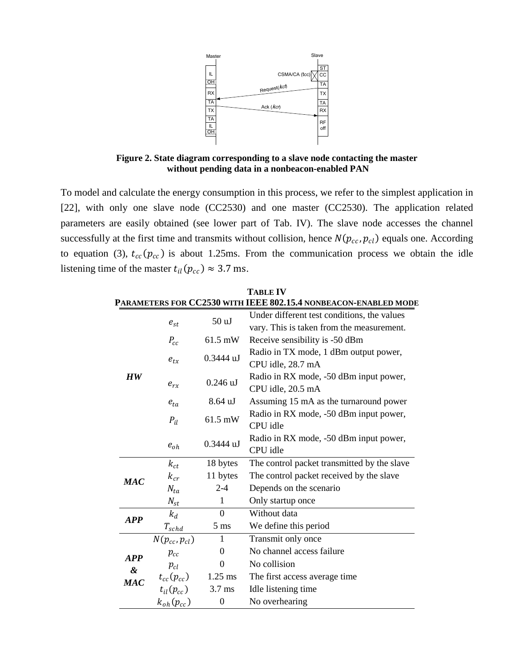

**Figure 2. State diagram corresponding to a slave node contacting the master without pending data in a nonbeacon-enabled PAN**

To model and calculate the energy consumption in this process, we refer to the simplest application in [22], with only one slave node (CC2530) and one master (CC2530). The application related parameters are easily obtained (see lower part of Tab. IV). The slave node accesses the channel successfully at the first time and transmits without collision, hence  $N(p_{cc}, p_{cl})$  equals one. According to equation (3),  $t_{cc}(p_{cc})$  is about 1.25ms. From the communication process we obtain the idle listening time of the master  $t_{il}(p_{cc}) \approx 3.7$  ms.

|            |                     |                   | <b>TABLE IV</b>                                                 |
|------------|---------------------|-------------------|-----------------------------------------------------------------|
|            |                     |                   | PARAMETERS FOR CC2530 WITH IEEE 802.15.4 NONBEACON-ENABLED MODE |
|            |                     | 50 <sub>u</sub>   | Under different test conditions, the values                     |
|            | $e_{st}$            |                   | vary. This is taken from the measurement.                       |
|            | $P_{cc}$            | $61.5 \text{ mW}$ | Receive sensibility is -50 dBm                                  |
|            |                     | $0.3444$ uJ       | Radio in TX mode, 1 dBm output power,                           |
|            | $e_{tx}$            |                   | CPU idle, 28.7 mA                                               |
| <b>HW</b>  | $e_{rx}$            | $0.246$ uJ        | Radio in RX mode, -50 dBm input power,                          |
|            |                     |                   | CPU idle, 20.5 mA                                               |
|            | $e_{ta}$            | 8.64 uJ           | Assuming 15 mA as the turnaround power                          |
|            | $P_{il}$            | 61.5 mW           | Radio in RX mode, -50 dBm input power,                          |
|            |                     |                   | CPU idle                                                        |
|            |                     | $0.3444$ uJ       | Radio in RX mode, -50 dBm input power,                          |
|            | $e_{oh}$            |                   | CPU idle                                                        |
|            | $k_{ct}$            | 18 bytes          | The control packet transmitted by the slave                     |
| MAC        | $k_{cr}$            | 11 bytes          | The control packet received by the slave                        |
|            | $N_{ta}$            | $2 - 4$           | Depends on the scenario                                         |
|            | $N_{st}$            | 1                 | Only startup once                                               |
| <b>APP</b> | $k_d$               | $\overline{0}$    | Without data                                                    |
|            | $T_{schd}$          | $5 \text{ ms}$    | We define this period                                           |
|            | $N(p_{cc}, p_{cl})$ | 1                 | Transmit only once                                              |
| <b>APP</b> | $p_{cc}$            | 0                 | No channel access failure                                       |
| &          | $p_{cl}$            | $\theta$          | No collision                                                    |
| MAC        | $t_{cc}(p_{cc})$    | $1.25$ ms         | The first access average time                                   |
|            | $t_{il}(p_{cc})$    | 3.7 ms            | Idle listening time                                             |
|            | $k_{oh}(p_{cc})$    | $\boldsymbol{0}$  | No overhearing                                                  |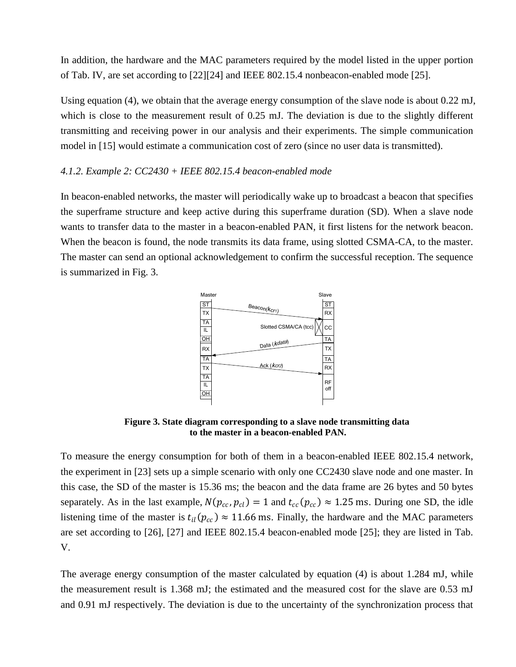In addition, the hardware and the MAC parameters required by the model listed in the upper portion of Tab. IV, are set according to [22][24] and IEEE 802.15.4 nonbeacon-enabled mode [25].

Using equation (4), we obtain that the average energy consumption of the slave node is about 0.22 mJ, which is close to the measurement result of 0.25 mJ. The deviation is due to the slightly different transmitting and receiving power in our analysis and their experiments. The simple communication model in [15] would estimate a communication cost of zero (since no user data is transmitted).

## *4.1.2. Example 2: CC2430 + IEEE 802.15.4 beacon-enabled mode*

In beacon-enabled networks, the master will periodically wake up to broadcast a beacon that specifies the superframe structure and keep active during this superframe duration (SD). When a slave node wants to transfer data to the master in a beacon-enabled PAN, it first listens for the network beacon. When the beacon is found, the node transmits its data frame, using slotted CSMA-CA, to the master. The master can send an optional acknowledgement to confirm the successful reception. The sequence is summarized in Fig. 3.



**Figure 3. State diagram corresponding to a slave node transmitting data to the master in a beacon-enabled PAN.**

To measure the energy consumption for both of them in a beacon-enabled IEEE 802.15.4 network, the experiment in [23] sets up a simple scenario with only one CC2430 slave node and one master. In this case, the SD of the master is 15.36 ms; the beacon and the data frame are 26 bytes and 50 bytes separately. As in the last example,  $N(p_{cc}, p_{cl}) = 1$  and  $t_{cc}( p_{cc}) \approx 1.25$  ms. During one SD, the idle listening time of the master is  $t_{il}(p_{cc}) \approx 11.66$  ms. Finally, the hardware and the MAC parameters are set according to [26], [27] and IEEE 802.15.4 beacon-enabled mode [25]; they are listed in Tab. V.

The average energy consumption of the master calculated by equation (4) is about 1.284 mJ, while the measurement result is 1.368 mJ; the estimated and the measured cost for the slave are 0.53 mJ and 0.91 mJ respectively. The deviation is due to the uncertainty of the synchronization process that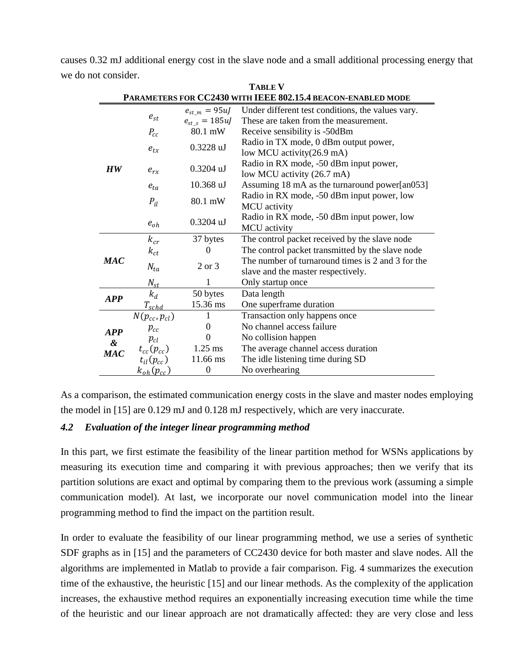| <b>TABLE V</b> |                                                              |                     |                                                                                         |  |  |  |
|----------------|--------------------------------------------------------------|---------------------|-----------------------------------------------------------------------------------------|--|--|--|
|                | PARAMETERS FOR CC2430 WITH IEEE 802.15.4 BEACON-ENABLED MODE |                     |                                                                                         |  |  |  |
|                |                                                              | $e_{st m} = 95uJ$   | Under different test conditions, the values vary.                                       |  |  |  |
|                | $e_{st}$                                                     | $e_{st_s} = 185 uJ$ | These are taken from the measurement.                                                   |  |  |  |
|                | $P_{cc}$                                                     | 80.1 mW             | Receive sensibility is -50dBm                                                           |  |  |  |
|                | $e_{tx}$                                                     | 0.3228 uJ           | Radio in TX mode, 0 dBm output power,<br>low MCU activity (26.9 mA)                     |  |  |  |
| HW             | $e_{rx}$                                                     | $0.3204$ uJ         | Radio in RX mode, -50 dBm input power,<br>low MCU activity (26.7 mA)                    |  |  |  |
|                | $e_{ta}$                                                     | $10.368$ uJ         | Assuming 18 mA as the turnaround power[an053]                                           |  |  |  |
|                | $P_{il}$                                                     | 80.1 mW             | Radio in RX mode, -50 dBm input power, low<br><b>MCU</b> activity                       |  |  |  |
|                | $e_{oh}$                                                     | $0.3204$ uJ         | Radio in RX mode, -50 dBm input power, low<br>MCU activity                              |  |  |  |
|                | $k_{cr}$                                                     | 37 bytes            | The control packet received by the slave node                                           |  |  |  |
|                | $k_{ct}$                                                     | 0                   | The control packet transmitted by the slave node                                        |  |  |  |
| MAC            | $N_{ta}$                                                     | $2$ or $3$          | The number of turnaround times is 2 and 3 for the<br>slave and the master respectively. |  |  |  |
|                | $N_{st}$                                                     | 1                   | Only startup once                                                                       |  |  |  |
| APP            | $k_d$                                                        | 50 bytes            | Data length                                                                             |  |  |  |
|                | $T_{schd}$                                                   | 15.36 ms            | One superframe duration                                                                 |  |  |  |
|                | $N(p_{cc}, p_{cl})$                                          | 1                   | Transaction only happens once                                                           |  |  |  |
| <b>APP</b>     | $p_{cc}$                                                     | $\theta$            | No channel access failure                                                               |  |  |  |
| &              | $p_{cl}$                                                     | $\overline{0}$      | No collision happen                                                                     |  |  |  |
| MAC            | $t_{cc}(p_{cc})$                                             | $1.25$ ms           | The average channel access duration                                                     |  |  |  |
|                | $t_{il}(p_{cc})$                                             | 11.66 ms            | The idle listening time during SD                                                       |  |  |  |
|                | $k_{oh}(p_{cc})$                                             | $\boldsymbol{0}$    | No overhearing                                                                          |  |  |  |

causes 0.32 mJ additional energy cost in the slave node and a small additional processing energy that we do not consider.

As a comparison, the estimated communication energy costs in the slave and master nodes employing the model in [15] are 0.129 mJ and 0.128 mJ respectively, which are very inaccurate.

## *4.2 Evaluation of the integer linear programming method*

In this part, we first estimate the feasibility of the linear partition method for WSNs applications by measuring its execution time and comparing it with previous approaches; then we verify that its partition solutions are exact and optimal by comparing them to the previous work (assuming a simple communication model). At last, we incorporate our novel communication model into the linear programming method to find the impact on the partition result.

In order to evaluate the feasibility of our linear programming method, we use a series of synthetic SDF graphs as in [15] and the parameters of CC2430 device for both master and slave nodes. All the algorithms are implemented in Matlab to provide a fair comparison. Fig. 4 summarizes the execution time of the exhaustive, the heuristic [15] and our linear methods. As the complexity of the application increases, the exhaustive method requires an exponentially increasing execution time while the time of the heuristic and our linear approach are not dramatically affected: they are very close and less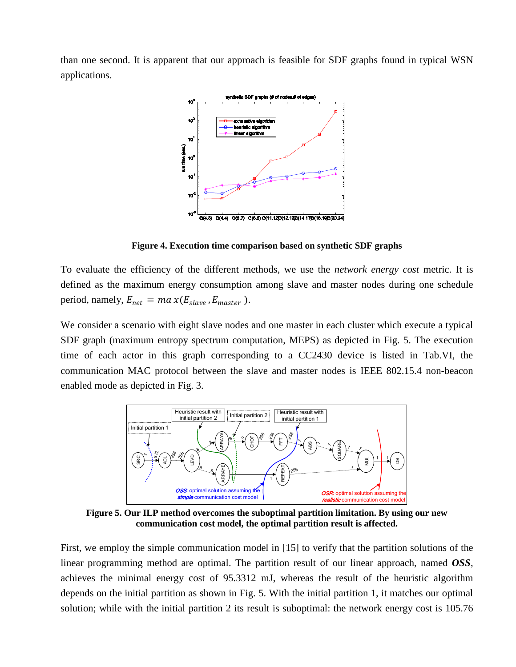than one second. It is apparent that our approach is feasible for SDF graphs found in typical WSN applications.



**Figure 4. Execution time comparison based on synthetic SDF graphs**

To evaluate the efficiency of the different methods, we use the *network energy cost* metric. It is defined as the maximum energy consumption among slave and master nodes during one schedule period, namely,  $E_{net} = ma \, x (E_{slave}, E_{master})$ .

We consider a scenario with eight slave nodes and one master in each cluster which execute a typical SDF graph (maximum entropy spectrum computation, MEPS) as depicted in Fig. 5. The execution time of each actor in this graph corresponding to a CC2430 device is listed in Tab.VI, the communication MAC protocol between the slave and master nodes is IEEE 802.15.4 non-beacon enabled mode as depicted in Fig. 3.



**Figure 5. Our ILP method overcomes the suboptimal partition limitation. By using our new communication cost model, the optimal partition result is affected.**

First, we employ the simple communication model in [15] to verify that the partition solutions of the linear programming method are optimal. The partition result of our linear approach, named *OSS*, achieves the minimal energy cost of 95.3312 mJ, whereas the result of the heuristic algorithm depends on the initial partition as shown in Fig. 5. With the initial partition 1, it matches our optimal solution; while with the initial partition 2 its result is suboptimal: the network energy cost is 105.76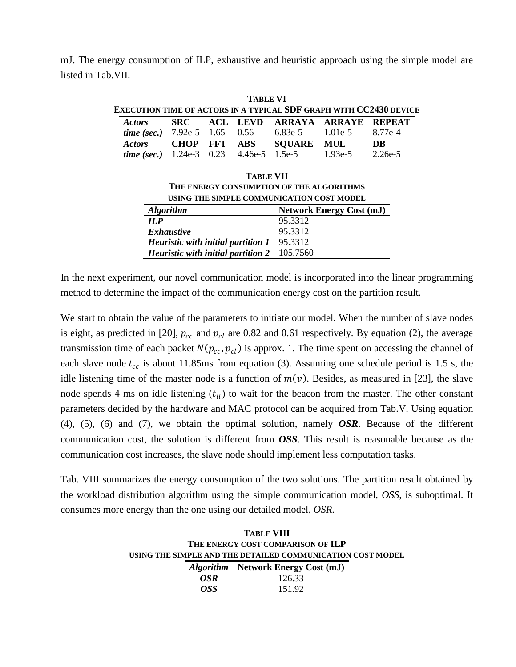mJ. The energy consumption of ILP, exhaustive and heuristic approach using the simple model are listed in Tab.VII.

| <b>TABLE VI</b>                                                    |  |  |              |                                                                  |  |           |
|--------------------------------------------------------------------|--|--|--------------|------------------------------------------------------------------|--|-----------|
| EXECUTION TIME OF ACTORS IN A TYPICAL SDF GRAPH WITH CC2430 DEVICE |  |  |              |                                                                  |  |           |
| <i>Actors</i>                                                      |  |  |              | SRC ACL LEVD ARRAYA ARRAYE REPEAT                                |  |           |
| <i>time (sec.)</i> $7.92e-5$ $1.65$ $0.56$                         |  |  |              | 6.83e-5 1.01e-5                                                  |  | 8.77e-4   |
| <i>Actors</i>                                                      |  |  | CHOP FFT ABS | <b>SOUARE MUL</b>                                                |  | DB        |
|                                                                    |  |  |              | <i>time</i> (sec.) $1.24e-3$ $0.23$ $4.46e-5$ $1.5e-5$ $1.93e-5$ |  | $2.26e-5$ |

| <b>TABLE VII</b>                          |  |
|-------------------------------------------|--|
| THE ENERGY CONSUMPTION OF THE ALGORITHMS  |  |
| USING THE SIMPLE COMMUNICATION COST MODEL |  |

| <b>Algorithm</b>                                   | <b>Network Energy Cost (mJ)</b> |
|----------------------------------------------------|---------------------------------|
| II.P                                               | 95.3312                         |
| <i>Exhaustive</i>                                  | 95.3312                         |
| <b>Heuristic with initial partition 1</b>          | 95.3312                         |
| <i>Heuristic with initial partition 2</i> 105.7560 |                                 |

In the next experiment, our novel communication model is incorporated into the linear programming method to determine the impact of the communication energy cost on the partition result.

We start to obtain the value of the parameters to initiate our model. When the number of slave nodes is eight, as predicted in [20],  $p_{cc}$  and  $p_{cl}$  are 0.82 and 0.61 respectively. By equation (2), the average transmission time of each packet  $N(p_{cc}, p_{cl})$  is approx. 1. The time spent on accessing the channel of each slave node  $t_{cc}$  is about 11.85ms from equation (3). Assuming one schedule period is 1.5 s, the idle listening time of the master node is a function of  $m(v)$ . Besides, as measured in [23], the slave node spends 4 ms on idle listening  $(t_{il})$  to wait for the beacon from the master. The other constant parameters decided by the hardware and MAC protocol can be acquired from Tab.V. Using equation (4), (5), (6) and (7), we obtain the optimal solution, namely *OSR*. Because of the different communication cost, the solution is different from *OSS*. This result is reasonable because as the communication cost increases, the slave node should implement less computation tasks.

Tab. VIII summarizes the energy consumption of the two solutions. The partition result obtained by the workload distribution algorithm using the simple communication model, *OSS,* is suboptimal. It consumes more energy than the one using our detailed model, *OSR*.

|     | <b>TABLE VIII</b>                                          |  |
|-----|------------------------------------------------------------|--|
|     | THE ENERGY COST COMPARISON OF ILP                          |  |
|     | USING THE SIMPLE AND THE DETAILED COMMUNICATION COST MODEL |  |
|     | <i>Algorithm</i> Network Energy Cost (mJ)                  |  |
| OSR | 126.33                                                     |  |
| oss | 151.92                                                     |  |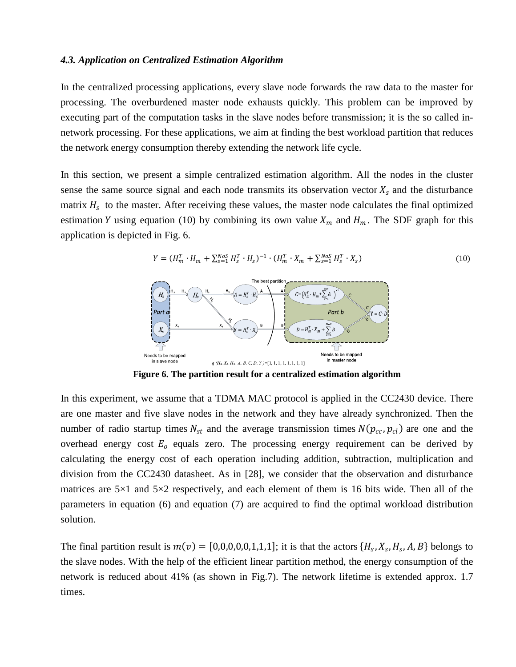### *4.3. Application on Centralized Estimation Algorithm*

In the centralized processing applications, every slave node forwards the raw data to the master for processing. The overburdened master node exhausts quickly. This problem can be improved by executing part of the computation tasks in the slave nodes before transmission; it is the so called innetwork processing. For these applications, we aim at finding the best workload partition that reduces the network energy consumption thereby extending the network life cycle.

In this section, we present a simple centralized estimation algorithm. All the nodes in the cluster sense the same source signal and each node transmits its observation vector  $X_s$  and the disturbance matrix  $H_s$  to the master. After receiving these values, the master node calculates the final optimized estimation Y using equation (10) by combining its own value  $X_m$  and  $H_m$ . The SDF graph for this application is depicted in Fig. 6.



**Figure 6. The partition result for a centralized estimation algorithm**

In this experiment, we assume that a TDMA MAC protocol is applied in the CC2430 device. There are one master and five slave nodes in the network and they have already synchronized. Then the number of radio startup times  $N_{st}$  and the average transmission times  $N(p_{cc}, p_{cl})$  are one and the overhead energy cost  $E_0$  equals zero. The processing energy requirement can be derived by calculating the energy cost of each operation including addition, subtraction, multiplication and division from the CC2430 datasheet. As in [28], we consider that the observation and disturbance matrices are 5×1 and 5×2 respectively, and each element of them is 16 bits wide. Then all of the parameters in equation (6) and equation (7) are acquired to find the optimal workload distribution solution.

The final partition result is  $m(v) = [0,0,0,0,0,1,1,1]$ ; it is that the actors  $\{H_s, X_s, H_s, A, B\}$  belongs to the slave nodes. With the help of the efficient linear partition method, the energy consumption of the network is reduced about 41% (as shown in Fig.7). The network lifetime is extended approx. 1.7 times.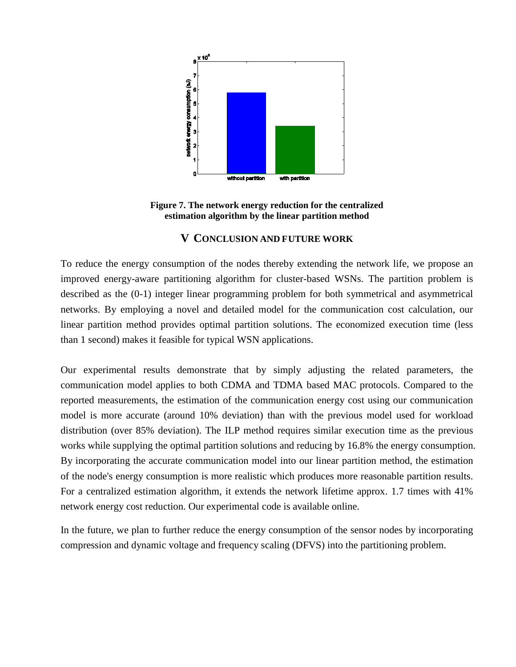

**Figure 7. The network energy reduction for the centralized estimation algorithm by the linear partition method**

## **V CONCLUSION AND FUTURE WORK**

To reduce the energy consumption of the nodes thereby extending the network life, we propose an improved energy-aware partitioning algorithm for cluster-based WSNs. The partition problem is described as the (0-1) integer linear programming problem for both symmetrical and asymmetrical networks. By employing a novel and detailed model for the communication cost calculation, our linear partition method provides optimal partition solutions. The economized execution time (less than 1 second) makes it feasible for typical WSN applications.

Our experimental results demonstrate that by simply adjusting the related parameters, the communication model applies to both CDMA and TDMA based MAC protocols. Compared to the reported measurements, the estimation of the communication energy cost using our communication model is more accurate (around 10% deviation) than with the previous model used for workload distribution (over 85% deviation). The ILP method requires similar execution time as the previous works while supplying the optimal partition solutions and reducing by 16.8% the energy consumption. By incorporating the accurate communication model into our linear partition method, the estimation of the node's energy consumption is more realistic which produces more reasonable partition results. For a centralized estimation algorithm, it extends the network lifetime approx. 1.7 times with 41% network energy cost reduction. Our experimental code is available online.

In the future, we plan to further reduce the energy consumption of the sensor nodes by incorporating compression and dynamic voltage and frequency scaling (DFVS) into the partitioning problem.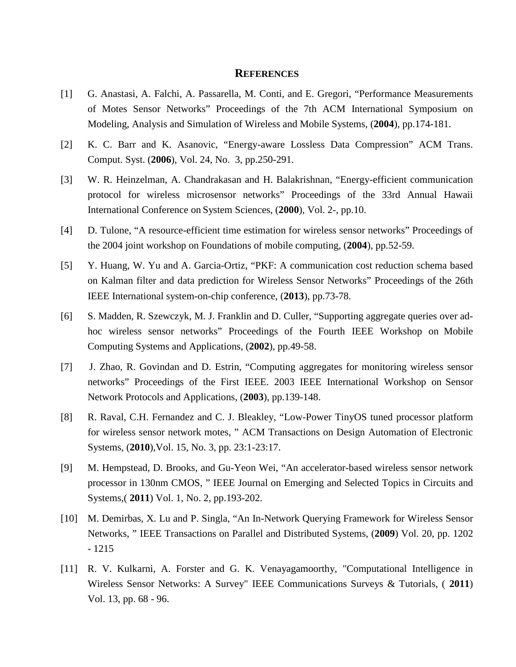#### **REFERENCES**

- [1] G. Anastasi, A. Falchi, A. Passarella, M. Conti, and E. Gregori, "Performance Measurements of Motes Sensor Networks" Proceedings of the 7th ACM International Symposium on Modeling, Analysis and Simulation of Wireless and Mobile Systems, (**2004**), pp.174-181.
- [2] K. C. Barr and K. Asanovic, "Energy-aware Lossless Data Compression" ACM Trans. Comput. Syst. (**2006**), Vol. 24, No. 3, pp.250-291.
- [3] W. R. Heinzelman, A. Chandrakasan and H. Balakrishnan, "Energy-efficient communication protocol for wireless microsensor networks" Proceedings of the 33rd Annual Hawaii International Conference on System Sciences, (**2000**), Vol. 2-, pp.10.
- [4] D. Tulone, "A resource-efficient time estimation for wireless sensor networks" Proceedings of the 2004 joint workshop on Foundations of mobile computing, (**2004**), pp.52-59.
- [5] Y. Huang, W. Yu and A. Garcia-Ortiz, "PKF: A communication cost reduction schema based on Kalman filter and data prediction for Wireless Sensor Networks" Proceedings of the 26th IEEE International system-on-chip conference, (**2013**), pp.73-78.
- [6] S. Madden, R. Szewczyk, M. J. Franklin and D. Culler, "Supporting aggregate queries over adhoc wireless sensor networks" Proceedings of the Fourth IEEE Workshop on Mobile Computing Systems and Applications, (**2002**), pp.49-58.
- [7] J. Zhao, R. Govindan and D. Estrin, "Computing aggregates for monitoring wireless sensor networks" Proceedings of the First IEEE. 2003 IEEE International Workshop on Sensor Network Protocols and Applications, (**2003**), pp.139-148.
- [8] R. Raval, C.H. Fernandez and C. J. Bleakley, "Low-Power TinyOS tuned processor platform for wireless sensor network motes, " ACM Transactions on Design Automation of Electronic Systems, (**2010**),Vol. 15, No. 3, pp. 23:1-23:17.
- [9] M. Hempstead, D. Brooks, and Gu-Yeon Wei, "An accelerator-based wireless sensor network processor in 130nm CMOS, " IEEE Journal on Emerging and Selected Topics in Circuits and Systems,( **2011**) Vol. 1, No. 2, pp.193-202.
- [10] M. Demirbas, X. Lu and P. Singla, "An In-Network Querying Framework for Wireless Sensor Networks, " IEEE Transactions on Parallel and Distributed Systems, (**2009**) Vol. 20, pp. 1202 - 1215
- [11] R. V. Kulkarni, A. Forster and G. K. Venayagamoorthy, "Computational Intelligence in Wireless Sensor Networks: A Survey" IEEE Communications Surveys & Tutorials, ( **2011**) Vol. 13, pp. 68 - 96.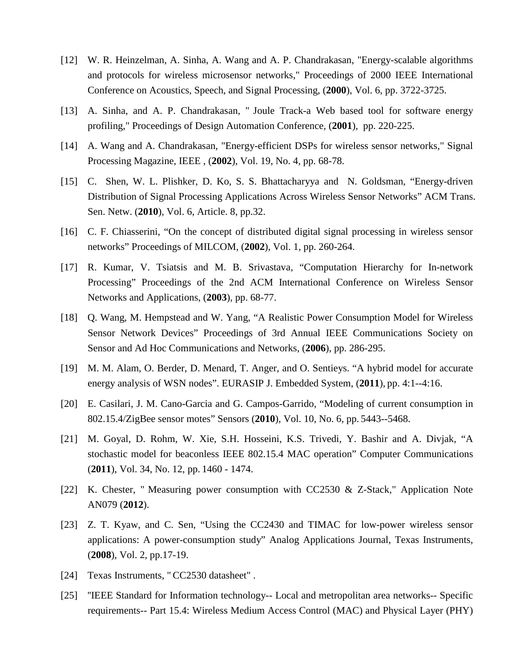- [12] W. R. Heinzelman, A. Sinha, A. Wang and A. P. Chandrakasan, "Energy-scalable algorithms and protocols for wireless microsensor networks," Proceedings of 2000 IEEE International Conference on Acoustics, Speech, and Signal Processing, (**2000**), Vol. 6, pp. 3722-3725.
- [13] A. Sinha, and A. P. Chandrakasan, " Joule Track-a Web based tool for software energy profiling," Proceedings of Design Automation Conference, (**2001**), pp. 220-225.
- [14] A. Wang and A. Chandrakasan, "Energy-efficient DSPs for wireless sensor networks," Signal Processing Magazine, IEEE , (**2002**), Vol. 19, No. 4, pp. 68-78.
- [15] C. Shen, W. L. Plishker, D. Ko, S. S. Bhattacharyya and N. Goldsman, "Energy-driven Distribution of Signal Processing Applications Across Wireless Sensor Networks" ACM Trans. Sen. Netw. (**2010**), Vol. 6, Article. 8, pp.32.
- [16] C. F. Chiasserini, "On the concept of distributed digital signal processing in wireless sensor networks" Proceedings of MILCOM, (**2002**), Vol. 1, pp. 260-264.
- [17] R. Kumar, V. Tsiatsis and M. B. Srivastava, "Computation Hierarchy for In-network Processing" Proceedings of the 2nd ACM International Conference on Wireless Sensor Networks and Applications, (**2003**), pp. 68-77.
- [18] Q. Wang, M. Hempstead and W. Yang, "A Realistic Power Consumption Model for Wireless Sensor Network Devices" Proceedings of 3rd Annual IEEE Communications Society on Sensor and Ad Hoc Communications and Networks, (**2006**), pp. 286-295.
- [19] M. M. Alam, O. Berder, D. Menard, T. Anger, and O. Sentieys. "A hybrid model for accurate energy analysis of WSN nodes". EURASIP J. Embedded System, (**2011**), pp. 4:1--4:16.
- [20] E. Casilari, J. M. Cano-Garcia and G. Campos-Garrido, "Modeling of current consumption in 802.15.4/ZigBee sensor motes" Sensors (**2010**), Vol. 10, No. 6, pp. 5443--5468.
- [21] M. Goyal, D. Rohm, W. Xie, S.H. Hosseini, K.S. Trivedi, Y. Bashir and A. Divjak, "A stochastic model for beaconless IEEE 802.15.4 MAC operation" Computer Communications (**2011**), Vol. 34, No. 12, pp. 1460 - 1474.
- [22] K. Chester, " Measuring power consumption with CC2530 & Z-Stack," Application Note AN079 (**2012**).
- [23] Z. T. Kyaw, and C. Sen, "Using the CC2430 and TIMAC for low-power wireless sensor applications: A power-consumption study" Analog Applications Journal, Texas Instruments, (**2008**), Vol. 2, pp.17-19.
- [24] Texas Instruments, "CC2530 datasheet".
- [25] ''IEEE Standard for Information technology-- Local and metropolitan area networks-- Specific requirements-- Part 15.4: Wireless Medium Access Control (MAC) and Physical Layer (PHY)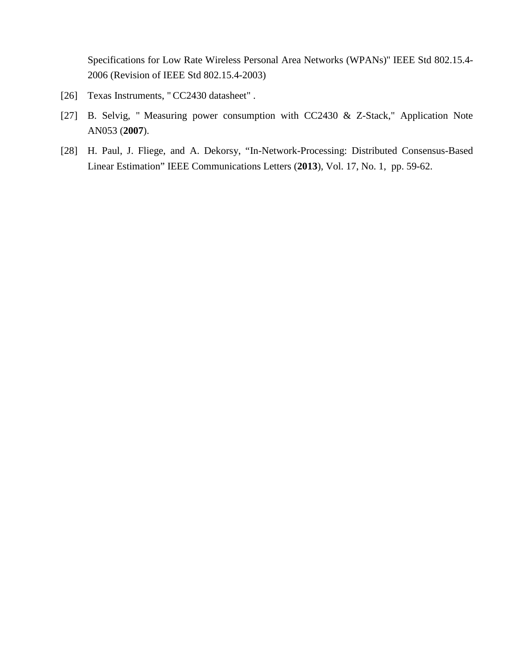Specifications for Low Rate Wireless Personal Area Networks (WPANs)'' IEEE Std 802.15.4- 2006 (Revision of IEEE Std 802.15.4-2003)

- [26] Texas Instruments, "CC2430 datasheet".
- [27] B. Selvig, " Measuring power consumption with CC2430 & Z-Stack," Application Note AN053 (**2007**).
- [28] H. Paul, J. Fliege, and A. Dekorsy, "In-Network-Processing: Distributed Consensus-Based Linear Estimation" IEEE Communications Letters (**2013**), Vol. 17, No. 1, pp. 59-62.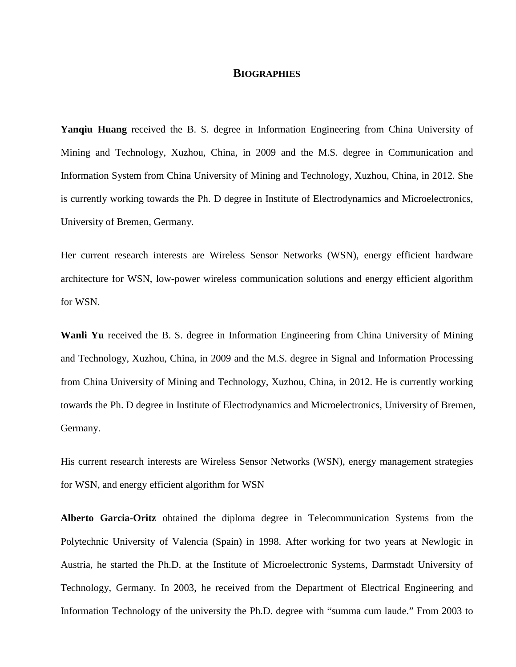### **BIOGRAPHIES**

**Yanqiu Huang** received the B. S. degree in Information Engineering from China University of Mining and Technology, Xuzhou, China, in 2009 and the M.S. degree in Communication and Information System from China University of Mining and Technology, Xuzhou, China, in 2012. She is currently working towards the Ph. D degree in Institute of Electrodynamics and Microelectronics, University of Bremen, Germany.

Her current research interests are Wireless Sensor Networks (WSN), energy efficient hardware architecture for WSN, low-power wireless communication solutions and energy efficient algorithm for WSN.

**Wanli Yu** received the B. S. degree in Information Engineering from China University of Mining and Technology, Xuzhou, China, in 2009 and the M.S. degree in Signal and Information Processing from China University of Mining and Technology, Xuzhou, China, in 2012. He is currently working towards the Ph. D degree in Institute of Electrodynamics and Microelectronics, University of Bremen, Germany.

His current research interests are Wireless Sensor Networks (WSN), energy management strategies for WSN, and energy efficient algorithm for WSN

**Alberto Garcia-Oritz** obtained the diploma degree in Telecommunication Systems from the Polytechnic University of Valencia (Spain) in 1998. After working for two years at Newlogic in Austria, he started the Ph.D. at the Institute of Microelectronic Systems, Darmstadt University of Technology, Germany. In 2003, he received from the Department of Electrical Engineering and Information Technology of the university the Ph.D. degree with "summa cum laude." From 2003 to